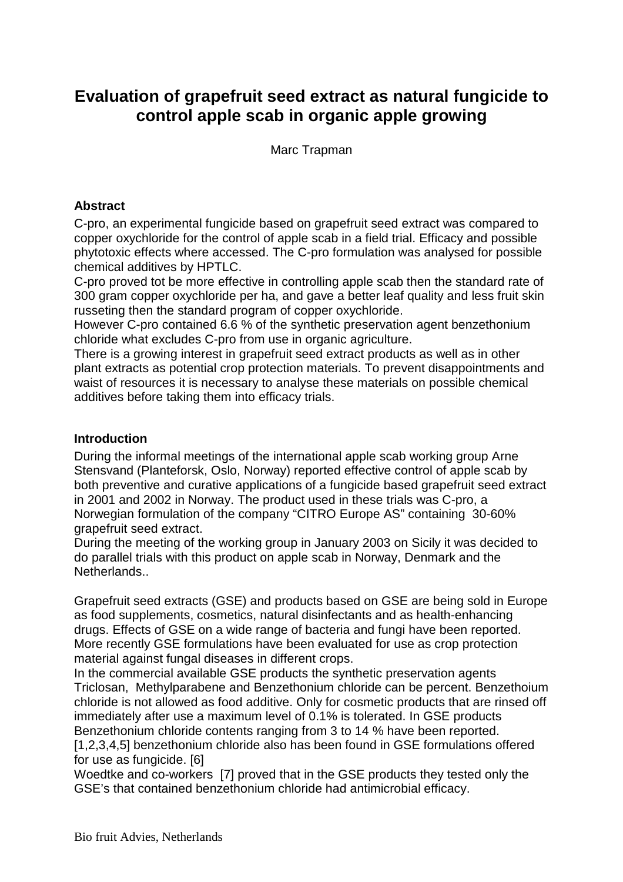# **Evaluation of grapefruit seed extract as natural fungicide to control apple scab in organic apple growing**

Marc Trapman

### **Abstract**

C-pro, an experimental fungicide based on grapefruit seed extract was compared to copper oxychloride for the control of apple scab in a field trial. Efficacy and possible phytotoxic effects where accessed. The C-pro formulation was analysed for possible chemical additives by HPTLC.

C-pro proved tot be more effective in controlling apple scab then the standard rate of 300 gram copper oxychloride per ha, and gave a better leaf quality and less fruit skin russeting then the standard program of copper oxychloride.

However C-pro contained 6.6 % of the synthetic preservation agent benzethonium chloride what excludes C-pro from use in organic agriculture.

There is a growing interest in grapefruit seed extract products as well as in other plant extracts as potential crop protection materials. To prevent disappointments and waist of resources it is necessary to analyse these materials on possible chemical additives before taking them into efficacy trials.

### **Introduction**

During the informal meetings of the international apple scab working group Arne Stensvand (Planteforsk, Oslo, Norway) reported effective control of apple scab by both preventive and curative applications of a fungicide based grapefruit seed extract in 2001 and 2002 in Norway. The product used in these trials was C-pro, a Norwegian formulation of the company "CITRO Europe AS" containing 30-60% grapefruit seed extract.

During the meeting of the working group in January 2003 on Sicily it was decided to do parallel trials with this product on apple scab in Norway, Denmark and the Netherlands..

Grapefruit seed extracts (GSE) and products based on GSE are being sold in Europe as food supplements, cosmetics, natural disinfectants and as health-enhancing drugs. Effects of GSE on a wide range of bacteria and fungi have been reported. More recently GSE formulations have been evaluated for use as crop protection material against fungal diseases in different crops.

In the commercial available GSE products the synthetic preservation agents Triclosan, Methylparabene and Benzethonium chloride can be percent. Benzethoium chloride is not allowed as food additive. Only for cosmetic products that are rinsed off immediately after use a maximum level of 0.1% is tolerated. In GSE products Benzethonium chloride contents ranging from 3 to 14 % have been reported. [1,2,3,4,5] benzethonium chloride also has been found in GSE formulations offered

for use as fungicide. [6]

Woedtke and co-workers [7] proved that in the GSE products they tested only the GSE's that contained benzethonium chloride had antimicrobial efficacy.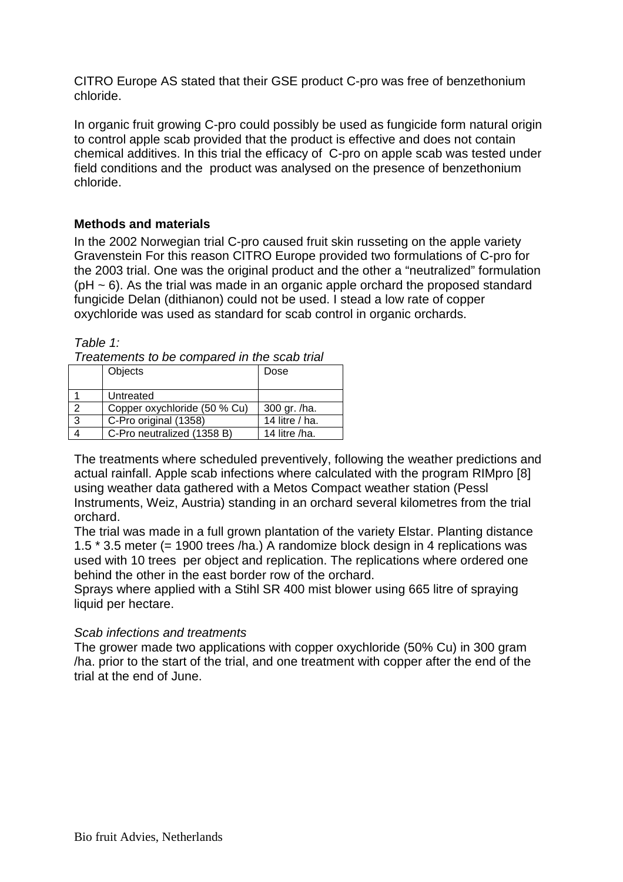CITRO Europe AS stated that their GSE product C-pro was free of benzethonium chloride.

In organic fruit growing C-pro could possibly be used as fungicide form natural origin to control apple scab provided that the product is effective and does not contain chemical additives. In this trial the efficacy of C-pro on apple scab was tested under field conditions and the product was analysed on the presence of benzethonium chloride.

### **Methods and materials**

In the 2002 Norwegian trial C-pro caused fruit skin russeting on the apple variety Gravenstein For this reason CITRO Europe provided two formulations of C-pro for the 2003 trial. One was the original product and the other a "neutralized" formulation  $(pH \sim 6)$ . As the trial was made in an organic apple orchard the proposed standard fungicide Delan (dithianon) could not be used. I stead a low rate of copper oxychloride was used as standard for scab control in organic orchards.

Table 1:

|        |  | Treatements to be compared in the scab trial |  |
|--------|--|----------------------------------------------|--|
| $\sim$ |  |                                              |  |

| Objects                      | Dose             |
|------------------------------|------------------|
| Untreated                    |                  |
| Copper oxychloride (50 % Cu) | 300 gr. /ha.     |
| C-Pro original (1358)        | 14 litre $/$ ha. |
| C-Pro neutralized (1358 B)   | 14 litre /ha.    |
|                              |                  |

The treatments where scheduled preventively, following the weather predictions and actual rainfall. Apple scab infections where calculated with the program RIMpro [8] using weather data gathered with a Metos Compact weather station (Pessl Instruments, Weiz, Austria) standing in an orchard several kilometres from the trial orchard.

The trial was made in a full grown plantation of the variety Elstar. Planting distance 1.5 \* 3.5 meter (= 1900 trees /ha.) A randomize block design in 4 replications was used with 10 trees per object and replication. The replications where ordered one behind the other in the east border row of the orchard.

Sprays where applied with a Stihl SR 400 mist blower using 665 litre of spraying liquid per hectare.

### Scab infections and treatments

The grower made two applications with copper oxychloride (50% Cu) in 300 gram /ha. prior to the start of the trial, and one treatment with copper after the end of the trial at the end of June.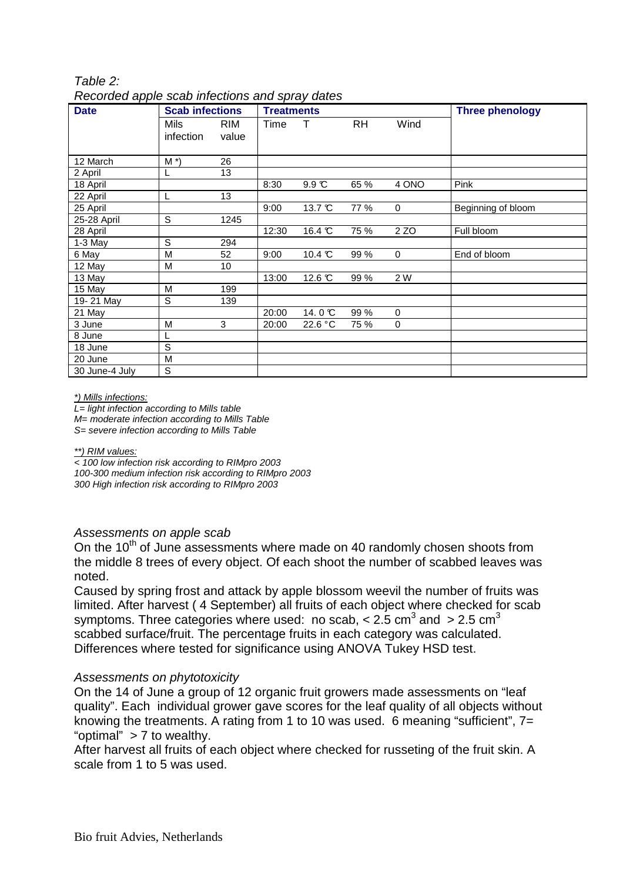| <b>Date</b>    | <b>Scab infections</b> |       | <b>Treatments</b> |                    |           |             | <b>Three phenology</b> |  |
|----------------|------------------------|-------|-------------------|--------------------|-----------|-------------|------------------------|--|
|                | Mils                   | RIM.  | Time              | $\top$             | <b>RH</b> | Wind        |                        |  |
|                | <i>infection</i>       | value |                   |                    |           |             |                        |  |
|                |                        |       |                   |                    |           |             |                        |  |
| 12 March       | $M^*$                  | 26    |                   |                    |           |             |                        |  |
| 2 April        | L                      | 13    |                   |                    |           |             |                        |  |
| 18 April       |                        |       | 8:30              | 9.9C               | 65 %      | 4 ONO       | Pink                   |  |
| 22 April       | L                      | 13    |                   |                    |           |             |                        |  |
| 25 April       |                        |       | 9:00              | 13.7 °C            | 77 %      | $\mathbf 0$ | Beginning of bloom     |  |
| 25-28 April    | $\mathsf{S}$           | 1245  |                   |                    |           |             |                        |  |
| 28 April       |                        |       | 12:30             | 16.4 °C            | 75 %      | 2 ZO        | Full bloom             |  |
| $1-3$ May      | S                      | 294   |                   |                    |           |             |                        |  |
| 6 May          | M                      | 52    | 9:00              | 10.4 °C            | 99 %      | $\mathbf 0$ | End of bloom           |  |
| 12 May         | M                      | 10    |                   |                    |           |             |                        |  |
| 13 May         |                        |       | 13:00             | 12.6 $\mathbb{C}$  | 99 %      | 2 W         |                        |  |
| 15 May         | M                      | 199   |                   |                    |           |             |                        |  |
| 19-21 May      | S                      | 139   |                   |                    |           |             |                        |  |
| 21 May         |                        |       | 20:00             | 14.0 $\mathcal{C}$ | 99 %      | $\mathbf 0$ |                        |  |
| 3 June         | M                      | 3     | 20:00             | 22.6 °C            | 75 %      | $\mathbf 0$ |                        |  |
| 8 June         | L                      |       |                   |                    |           |             |                        |  |
| 18 June        | S                      |       |                   |                    |           |             |                        |  |
| 20 June        | M                      |       |                   |                    |           |             |                        |  |
| 30 June-4 July | S                      |       |                   |                    |           |             |                        |  |

Table 2: Recorded apple scab infections and spray dates

\*) Mills infections:

 $L=$  light infection according to Mills table M= moderate infection according to Mills Table S= severe infection according to Mills Table

#### \*\*) RIM values:

< 100 low infection risk according to RIMpro 2003 100-300 medium infection risk according to RIMpro 2003 300 High infection risk according to RIMpro 2003

### Assessments on apple scab

On the 10<sup>th</sup> of June assessments where made on 40 randomly chosen shoots from the middle 8 trees of every object. Of each shoot the number of scabbed leaves was noted.

Caused by spring frost and attack by apple blossom weevil the number of fruits was limited. After harvest ( 4 September) all fruits of each object where checked for scab symptoms. Three categories where used: no scab,  $< 2.5$  cm<sup>3</sup> and  $> 2.5$  cm<sup>3</sup> scabbed surface/fruit. The percentage fruits in each category was calculated. Differences where tested for significance using ANOVA Tukey HSD test.

### Assessments on phytotoxicity

On the 14 of June a group of 12 organic fruit growers made assessments on "leaf quality". Each individual grower gave scores for the leaf quality of all objects without knowing the treatments. A rating from 1 to 10 was used. 6 meaning "sufficient", 7= "optimal"  $> 7$  to wealthy.

After harvest all fruits of each object where checked for russeting of the fruit skin. A scale from 1 to 5 was used.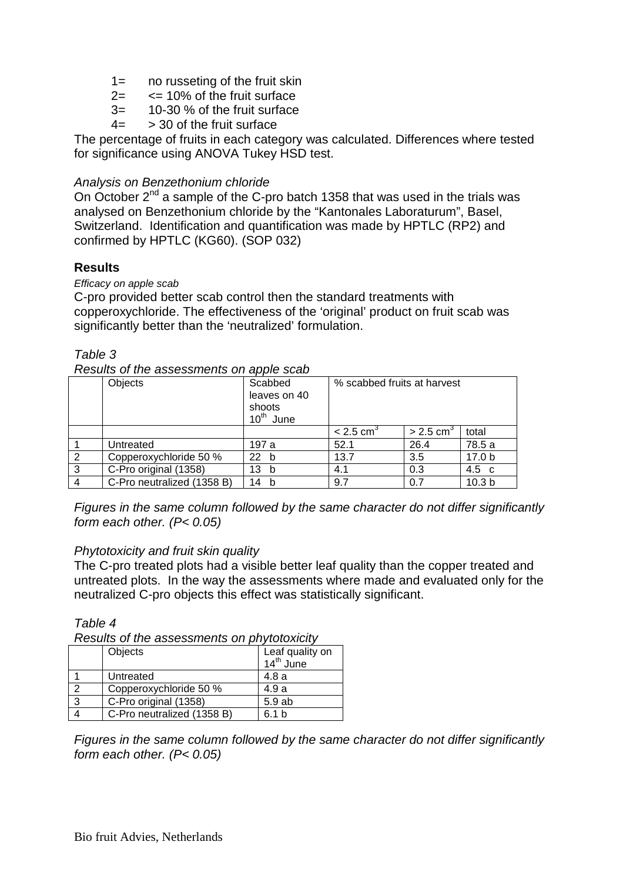- 1= no russeting of the fruit skin
- $2=$   $\leq$  10% of the fruit surface
- 3= 10-30 % of the fruit surface
- $4=$  > 30 of the fruit surface

The percentage of fruits in each category was calculated. Differences where tested for significance using ANOVA Tukey HSD test.

### Analysis on Benzethonium chloride

On October 2<sup>nd</sup> a sample of the C-pro batch 1358 that was used in the trials was analysed on Benzethonium chloride by the "Kantonales Laboraturum", Basel, Switzerland. Identification and quantification was made by HPTLC (RP2) and confirmed by HPTLC (KG60). (SOP 032)

## **Results**

### Efficacy on apple scab

C-pro provided better scab control then the standard treatments with copperoxychloride. The effectiveness of the 'original' product on fruit scab was significantly better than the 'neutralized' formulation.

### Table 3

Results of the assessments on apple scab

|                | Objects                    | Scabbed<br>leaves on 40<br>shoots<br>$10^{th}$ June | % scabbed fruits at harvest |                         |                   |
|----------------|----------------------------|-----------------------------------------------------|-----------------------------|-------------------------|-------------------|
|                |                            |                                                     | $< 2.5$ cm <sup>3</sup>     | $> 2.5$ cm <sup>3</sup> | total             |
|                | Untreated                  | 197 a                                               | 52.1                        | 26.4                    | 78.5 a            |
| 2              | Copperoxychloride 50 %     | 22 h                                                | 13.7                        | 3.5                     | 17.0 <sub>b</sub> |
| $\overline{3}$ | C-Pro original (1358)      | 13 <sub>b</sub>                                     | 4.1                         | 0.3                     | $4.5\text{ c}$    |
| $\overline{4}$ | C-Pro neutralized (1358 B) | 14 b                                                | 9.7                         | 0.7                     | 10.3 <sub>b</sub> |

Figures in the same column followed by the same character do not differ significantly form each other. (P< 0.05)

### Phytotoxicity and fruit skin quality

The C-pro treated plots had a visible better leaf quality than the copper treated and untreated plots. In the way the assessments where made and evaluated only for the neutralized C-pro objects this effect was statistically significant.

### Table 4

Results of the assessments on phytotoxicity

| Objects                    | Leaf quality on  |
|----------------------------|------------------|
|                            | $14th$ June      |
| Untreated                  | 4.8 a            |
| Copperoxychloride 50 %     | 4.9 a            |
| C-Pro original (1358)      | 5.9 ab           |
| C-Pro neutralized (1358 B) | 6.1 <sub>b</sub> |

Figures in the same column followed by the same character do not differ significantly form each other. (P< 0.05)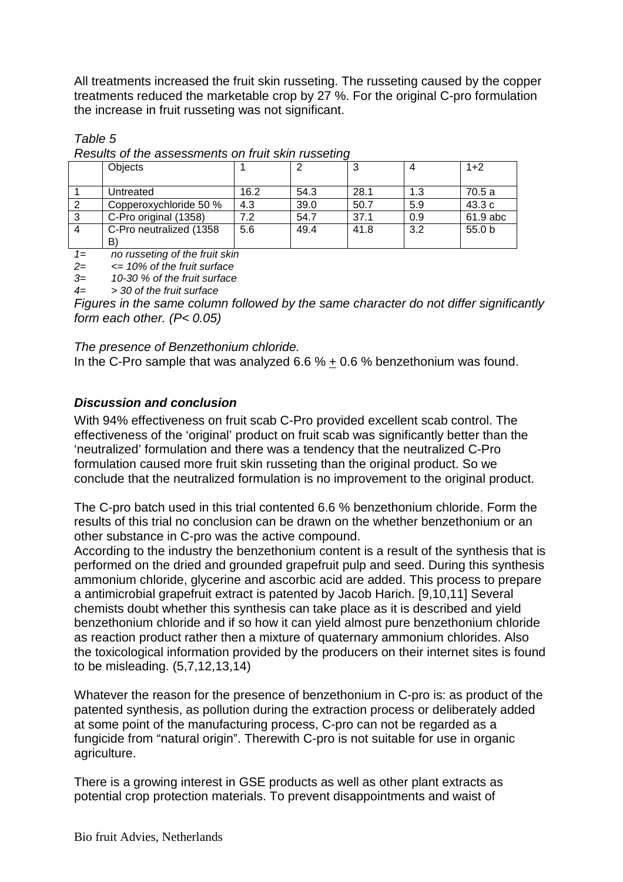All treatments increased the fruit skin russeting. The russeting caused by the copper treatments reduced the marketable crop by 27 %. For the original C-pro formulation the increase in fruit russeting was not significant.

### Table 5

| <u>NUSURS OF the assessments on mail shirt russeting</u> |                         |      |      |      |     |                   |  |  |
|----------------------------------------------------------|-------------------------|------|------|------|-----|-------------------|--|--|
|                                                          | <b>Objects</b>          |      |      | w    |     | $1+2$             |  |  |
|                                                          | Untreated               | 16.2 | 54.3 | 28.1 | 1.3 | 70.5 a            |  |  |
| -2                                                       | Copperoxychloride 50 %  | 4.3  | 39.0 | 50.7 | 5.9 | 43.3c             |  |  |
| -3                                                       | C-Pro original (1358)   | 7.2  | 54.7 | 37.1 | 0.9 | 61.9 abc          |  |  |
| $\overline{4}$                                           | C-Pro neutralized (1358 | 5.6  | 49.4 | 41.8 | 3.2 | 55.0 <sub>b</sub> |  |  |
|                                                          | B,                      |      |      |      |     |                   |  |  |

Results of the assessments on fruit skin russeting

1= no russeting of the fruit skin

2= <= 10% of the fruit surface

3= 10-30 % of the fruit surface

4= > 30 of the fruit surface

Figures in the same column followed by the same character do not differ significantly form each other. (P< 0.05)

### The presence of Benzethonium chloride.

In the C-Pro sample that was analyzed  $6.6\% + 0.6\%$  benzethonium was found.

## **Discussion and conclusion**

With 94% effectiveness on fruit scab C-Pro provided excellent scab control. The effectiveness of the 'original' product on fruit scab was significantly better than the 'neutralized' formulation and there was a tendency that the neutralized C-Pro formulation caused more fruit skin russeting than the original product. So we conclude that the neutralized formulation is no improvement to the original product.

The C-pro batch used in this trial contented 6.6 % benzethonium chloride. Form the results of this trial no conclusion can be drawn on the whether benzethonium or an other substance in C-pro was the active compound.

According to the industry the benzethonium content is a result of the synthesis that is performed on the dried and grounded grapefruit pulp and seed. During this synthesis ammonium chloride, glycerine and ascorbic acid are added. This process to prepare a antimicrobial grapefruit extract is patented by Jacob Harich. [9,10,11] Several chemists doubt whether this synthesis can take place as it is described and yield benzethonium chloride and if so how it can yield almost pure benzethonium chloride as reaction product rather then a mixture of quaternary ammonium chlorides. Also the toxicological information provided by the producers on their internet sites is found to be misleading. (5,7,12,13,14)

Whatever the reason for the presence of benzethonium in C-pro is: as product of the patented synthesis, as pollution during the extraction process or deliberately added at some point of the manufacturing process, C-pro can not be regarded as a fungicide from "natural origin". Therewith C-pro is not suitable for use in organic agriculture.

There is a growing interest in GSE products as well as other plant extracts as potential crop protection materials. To prevent disappointments and waist of